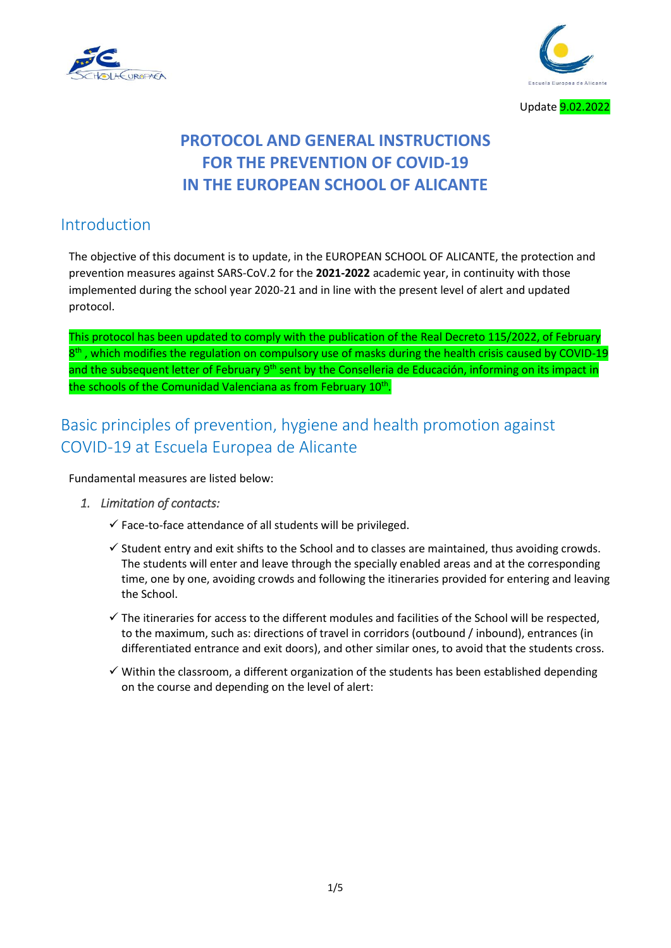



# **PROTOCOL AND GENERAL INSTRUCTIONS FOR THE PREVENTION OF COVID-19 IN THE EUROPEAN SCHOOL OF ALICANTE**

# Introduction

The objective of this document is to update, in the EUROPEAN SCHOOL OF ALICANTE, the protection and prevention measures against SARS-CoV.2 for the **2021-2022** academic year, in continuity with those implemented during the school year 2020-21 and in line with the present level of alert and updated protocol.

This protocol has been updated to comply with the publication of the Real Decreto 115/2022, of February 8<sup>th</sup>, which modifies the regulation on compulsory use of masks during the health crisis caused by COVID-19 and the subsequent letter of February 9<sup>th</sup> sent by the Conselleria de Educación, informing on its impact in the schools of the Comunidad Valenciana as from February 10<sup>th</sup>.

# Basic principles of prevention, hygiene and health promotion against COVID-19 at Escuela Europea de Alicante

Fundamental measures are listed below:

- *1. Limitation of contacts:* 
	- $\checkmark$  Face-to-face attendance of all students will be privileged.
	- $\checkmark$  Student entry and exit shifts to the School and to classes are maintained, thus avoiding crowds. The students will enter and leave through the specially enabled areas and at the corresponding time, one by one, avoiding crowds and following the itineraries provided for entering and leaving the School.
	- $\checkmark$  The itineraries for access to the different modules and facilities of the School will be respected, to the maximum, such as: directions of travel in corridors (outbound / inbound), entrances (in differentiated entrance and exit doors), and other similar ones, to avoid that the students cross.
	- $\checkmark$  Within the classroom, a different organization of the students has been established depending on the course and depending on the level of alert: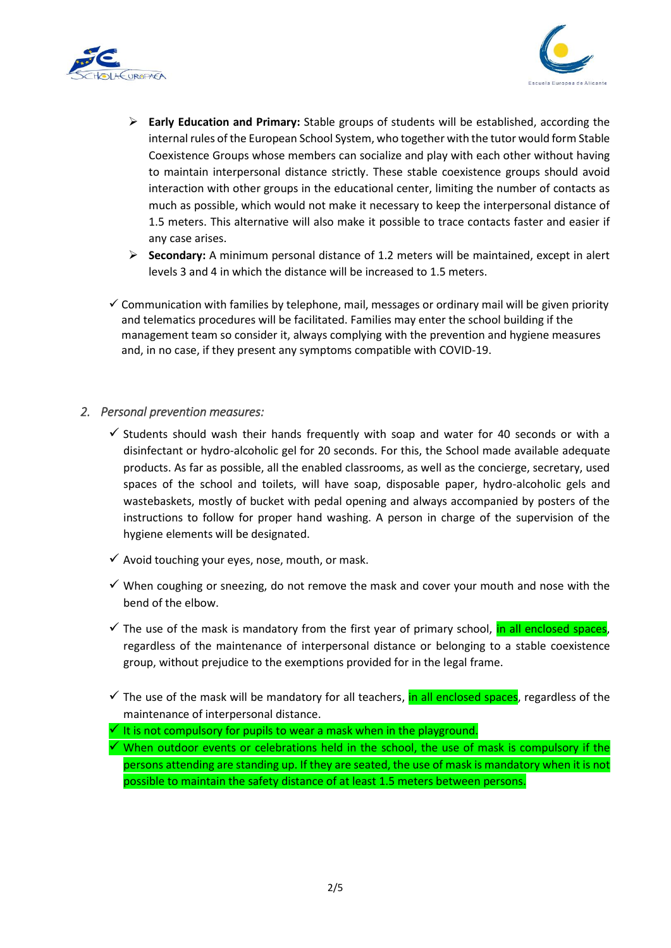



- **Early Education and Primary:** Stable groups of students will be established, according the internal rules of the European School System, who together with the tutor would form Stable Coexistence Groups whose members can socialize and play with each other without having to maintain interpersonal distance strictly. These stable coexistence groups should avoid interaction with other groups in the educational center, limiting the number of contacts as much as possible, which would not make it necessary to keep the interpersonal distance of 1.5 meters. This alternative will also make it possible to trace contacts faster and easier if any case arises.
- **Secondary:** A minimum personal distance of 1.2 meters will be maintained, except in alert levels 3 and 4 in which the distance will be increased to 1.5 meters.
- $\checkmark$  Communication with families by telephone, mail, messages or ordinary mail will be given priority and telematics procedures will be facilitated. Families may enter the school building if the management team so consider it, always complying with the prevention and hygiene measures and, in no case, if they present any symptoms compatible with COVID-19.

#### *2. Personal prevention measures:*

- $\checkmark$  Students should wash their hands frequently with soap and water for 40 seconds or with a disinfectant or hydro-alcoholic gel for 20 seconds. For this, the School made available adequate products. As far as possible, all the enabled classrooms, as well as the concierge, secretary, used spaces of the school and toilets, will have soap, disposable paper, hydro-alcoholic gels and wastebaskets, mostly of bucket with pedal opening and always accompanied by posters of the instructions to follow for proper hand washing. A person in charge of the supervision of the hygiene elements will be designated.
- $\checkmark$  Avoid touching your eyes, nose, mouth, or mask.
- $\checkmark$  When coughing or sneezing, do not remove the mask and cover your mouth and nose with the bend of the elbow.
- $\checkmark$  The use of the mask is mandatory from the first year of primary school, in all enclosed spaces, regardless of the maintenance of interpersonal distance or belonging to a stable coexistence group, without prejudice to the exemptions provided for in the legal frame.
- $\checkmark$  The use of the mask will be mandatory for all teachers, in all enclosed spaces, regardless of the maintenance of interpersonal distance.
- $\checkmark$  It is not compulsory for pupils to wear a mask when in the playground.
- $\checkmark$  When outdoor events or celebrations held in the school, the use of mask is compulsory if the persons attending are standing up. If they are seated, the use of mask is mandatory when it is not possible to maintain the safety distance of at least 1.5 meters between persons.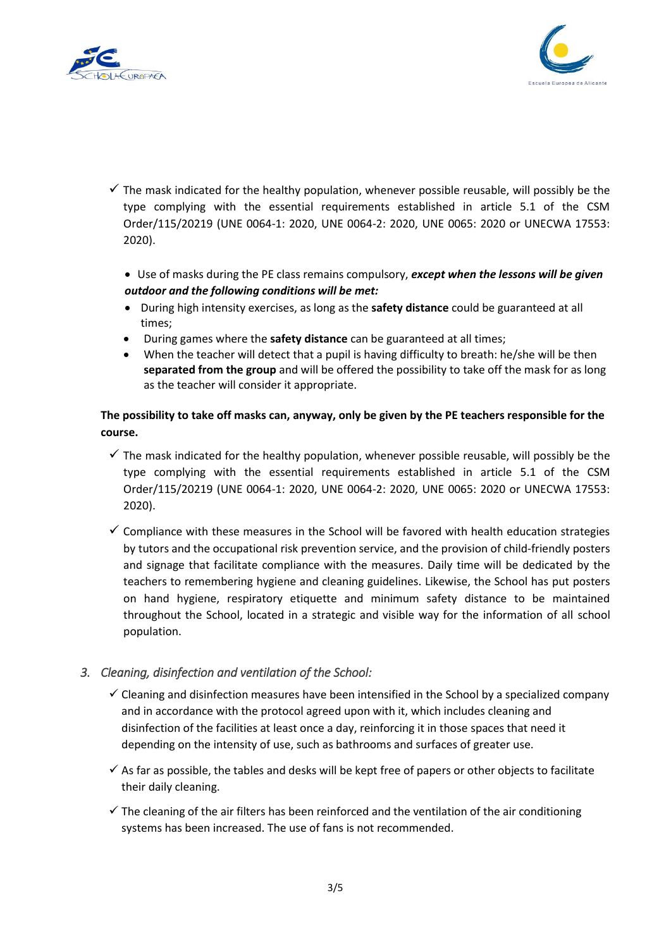



 $\checkmark$  The mask indicated for the healthy population, whenever possible reusable, will possibly be the type complying with the essential requirements established in article 5.1 of the CSM Order/115/20219 (UNE 0064-1: 2020, UNE 0064-2: 2020, UNE 0065: 2020 or UNECWA 17553: 2020).

 Use of masks during the PE class remains compulsory, *except when the lessons will be given outdoor and the following conditions will be met:*

- During high intensity exercises, as long as the **safety distance** could be guaranteed at all times;
- During games where the **safety distance** can be guaranteed at all times;
- When the teacher will detect that a pupil is having difficulty to breath: he/she will be then **separated from the group** and will be offered the possibility to take off the mask for as long as the teacher will consider it appropriate.

## **The possibility to take off masks can, anyway, only be given by the PE teachers responsible for the course.**

- $\checkmark$  The mask indicated for the healthy population, whenever possible reusable, will possibly be the type complying with the essential requirements established in article 5.1 of the CSM Order/115/20219 (UNE 0064-1: 2020, UNE 0064-2: 2020, UNE 0065: 2020 or UNECWA 17553: 2020).
- $\checkmark$  Compliance with these measures in the School will be favored with health education strategies by tutors and the occupational risk prevention service, and the provision of child-friendly posters and signage that facilitate compliance with the measures. Daily time will be dedicated by the teachers to remembering hygiene and cleaning guidelines. Likewise, the School has put posters on hand hygiene, respiratory etiquette and minimum safety distance to be maintained throughout the School, located in a strategic and visible way for the information of all school population.

### *3. Cleaning, disinfection and ventilation of the School:*

- $\checkmark$  Cleaning and disinfection measures have been intensified in the School by a specialized company and in accordance with the protocol agreed upon with it, which includes cleaning and disinfection of the facilities at least once a day, reinforcing it in those spaces that need it depending on the intensity of use, such as bathrooms and surfaces of greater use.
- $\checkmark$  As far as possible, the tables and desks will be kept free of papers or other objects to facilitate their daily cleaning.
- $\checkmark$  The cleaning of the air filters has been reinforced and the ventilation of the air conditioning systems has been increased. The use of fans is not recommended.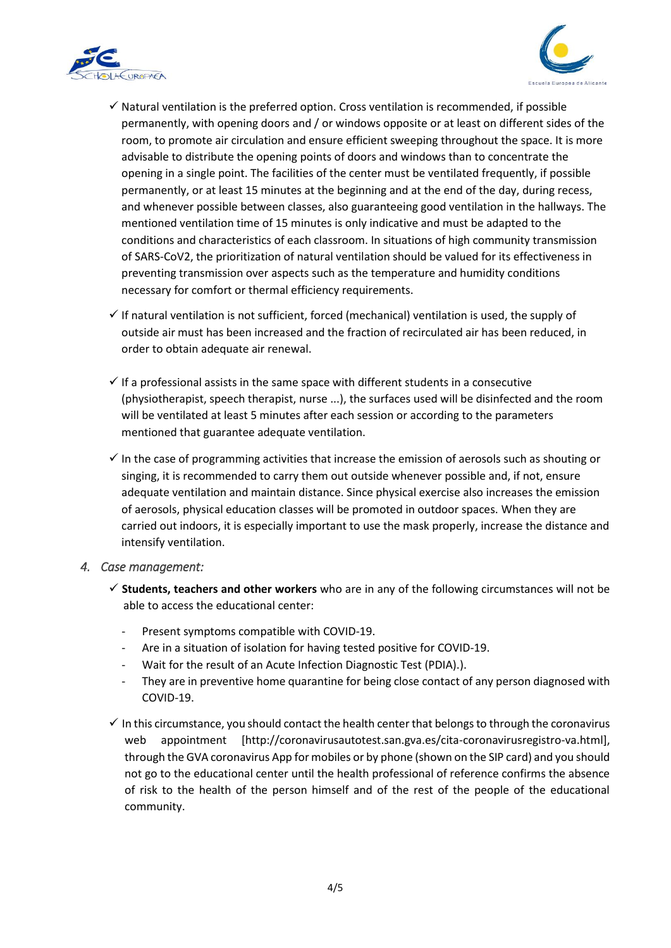



- $\checkmark$  Natural ventilation is the preferred option. Cross ventilation is recommended, if possible permanently, with opening doors and / or windows opposite or at least on different sides of the room, to promote air circulation and ensure efficient sweeping throughout the space. It is more advisable to distribute the opening points of doors and windows than to concentrate the opening in a single point. The facilities of the center must be ventilated frequently, if possible permanently, or at least 15 minutes at the beginning and at the end of the day, during recess, and whenever possible between classes, also guaranteeing good ventilation in the hallways. The mentioned ventilation time of 15 minutes is only indicative and must be adapted to the conditions and characteristics of each classroom. In situations of high community transmission of SARS-CoV2, the prioritization of natural ventilation should be valued for its effectiveness in preventing transmission over aspects such as the temperature and humidity conditions necessary for comfort or thermal efficiency requirements.
- $\checkmark$  If natural ventilation is not sufficient, forced (mechanical) ventilation is used, the supply of outside air must has been increased and the fraction of recirculated air has been reduced, in order to obtain adequate air renewal.
- $\checkmark$  If a professional assists in the same space with different students in a consecutive (physiotherapist, speech therapist, nurse ...), the surfaces used will be disinfected and the room will be ventilated at least 5 minutes after each session or according to the parameters mentioned that guarantee adequate ventilation.
- $\checkmark$  In the case of programming activities that increase the emission of aerosols such as shouting or singing, it is recommended to carry them out outside whenever possible and, if not, ensure adequate ventilation and maintain distance. Since physical exercise also increases the emission of aerosols, physical education classes will be promoted in outdoor spaces. When they are carried out indoors, it is especially important to use the mask properly, increase the distance and intensify ventilation.
- *4. Case management:* 
	- **Students, teachers and other workers** who are in any of the following circumstances will not be able to access the educational center:
		- Present symptoms compatible with COVID-19.
		- Are in a situation of isolation for having tested positive for COVID-19.
		- Wait for the result of an Acute Infection Diagnostic Test (PDIA).).
		- They are in preventive home quarantine for being close contact of any person diagnosed with COVID-19.
	- $\checkmark$  In this circumstance, you should contact the health center that belongs to through the coronavirus web appointment [http://coronavirusautotest.san.gva.es/cita-coronavirusregistro-va.html], through the GVA coronavirus App for mobiles or by phone (shown on the SIP card) and you should not go to the educational center until the health professional of reference confirms the absence of risk to the health of the person himself and of the rest of the people of the educational community.